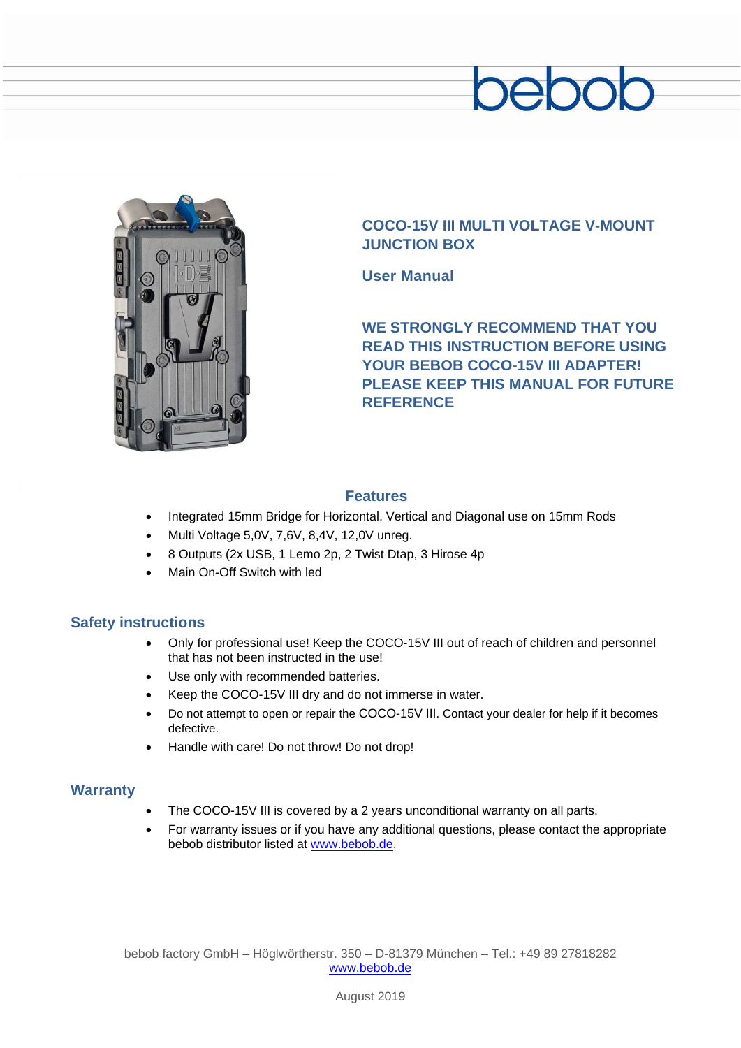# pepod



## **COCO-15V III MULTI VOLTAGE V-MOUNT JUNCTION BOX**

**User Manual**

**WE STRONGLY RECOMMEND THAT YOU READ THIS INSTRUCTION BEFORE USING YOUR BEBOB COCO-15V III ADAPTER! PLEASE KEEP THIS MANUAL FOR FUTURE REFERENCE**

### **Features**

- Integrated 15mm Bridge for Horizontal, Vertical and Diagonal use on 15mm Rods
- Multi Voltage 5,0V, 7,6V, 8,4V, 12,0V unreg.
- 8 Outputs (2x USB, 1 Lemo 2p, 2 Twist Dtap, 3 Hirose 4p
- Main On-Off Switch with led

#### **Safety instructions**

- Only for professional use! Keep the COCO-15V III out of reach of children and personnel that has not been instructed in the use!
- Use only with recommended batteries.
- Keep the COCO-15V III dry and do not immerse in water.
- Do not attempt to open or repair the COCO-15V III. Contact your dealer for help if it becomes defective.
- Handle with care! Do not throw! Do not drop!

#### **Warranty**

- The COCO-15V III is covered by a 2 years unconditional warranty on all parts.
- For warranty issues or if you have any additional questions, please contact the appropriate bebob distributor listed at [www.bebob.de.](http://www.bebob.de/)